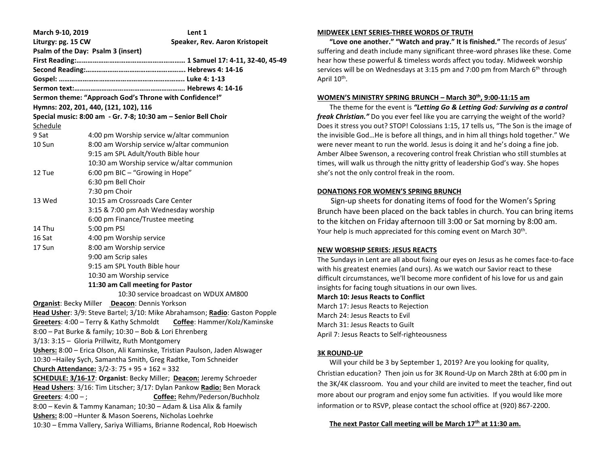| March 9-10, 2019                                                                                                           | Lent 1                                                              |  |  |  |
|----------------------------------------------------------------------------------------------------------------------------|---------------------------------------------------------------------|--|--|--|
| Liturgy: pg. 15 CW                                                                                                         | Speaker, Rev. Aaron Kristopeit                                      |  |  |  |
|                                                                                                                            | Psalm of the Day: Psalm 3 (insert)                                  |  |  |  |
|                                                                                                                            |                                                                     |  |  |  |
|                                                                                                                            |                                                                     |  |  |  |
|                                                                                                                            |                                                                     |  |  |  |
|                                                                                                                            |                                                                     |  |  |  |
| Sermon theme: "Approach God's Throne with Confidence!"                                                                     |                                                                     |  |  |  |
| Hymns: 202, 201, 440, (121, 102), 116                                                                                      |                                                                     |  |  |  |
| Special music: 8:00 am - Gr. 7-8; 10:30 am - Senior Bell Choir                                                             |                                                                     |  |  |  |
| Schedule                                                                                                                   |                                                                     |  |  |  |
| 9 Sat                                                                                                                      | 4:00 pm Worship service w/altar communion                           |  |  |  |
| 10 Sun                                                                                                                     | 8:00 am Worship service w/altar communion                           |  |  |  |
|                                                                                                                            | 9:15 am SPL Adult/Youth Bible hour                                  |  |  |  |
|                                                                                                                            | 10:30 am Worship service w/altar communion                          |  |  |  |
| 12 Tue                                                                                                                     | 6:00 pm BIC - "Growing in Hope"                                     |  |  |  |
|                                                                                                                            | 6:30 pm Bell Choir                                                  |  |  |  |
|                                                                                                                            | 7:30 pm Choir                                                       |  |  |  |
| 13 Wed                                                                                                                     | 10:15 am Crossroads Care Center                                     |  |  |  |
|                                                                                                                            | 3:15 & 7:00 pm Ash Wednesday worship                                |  |  |  |
|                                                                                                                            | 6:00 pm Finance/Trustee meeting                                     |  |  |  |
| 14 Thu                                                                                                                     | 5:00 pm PSI                                                         |  |  |  |
| 16 Sat                                                                                                                     | 4:00 pm Worship service                                             |  |  |  |
| 17 Sun                                                                                                                     | 8:00 am Worship service                                             |  |  |  |
|                                                                                                                            | 9:00 am Scrip sales                                                 |  |  |  |
| 9:15 am SPL Youth Bible hour                                                                                               |                                                                     |  |  |  |
| 10:30 am Worship service                                                                                                   |                                                                     |  |  |  |
| 11:30 am Call meeting for Pastor                                                                                           |                                                                     |  |  |  |
|                                                                                                                            | 10:30 service broadcast on WDUX AM800                               |  |  |  |
|                                                                                                                            | Organist: Becky Miller Deacon: Dennis Yorkson                       |  |  |  |
| Head Usher: 3/9: Steve Bartel; 3/10: Mike Abrahamson; Radio: Gaston Popple                                                 |                                                                     |  |  |  |
| Greeters: 4:00 - Terry & Kathy Schmoldt Coffee: Hammer/Kolz/Kaminske                                                       |                                                                     |  |  |  |
| 8:00 - Pat Burke & family; 10:30 - Bob & Lori Ehrenberg                                                                    |                                                                     |  |  |  |
| 3/13: 3:15 - Gloria Prillwitz, Ruth Montgomery                                                                             |                                                                     |  |  |  |
| Ushers: 8:00 - Erica Olson, Ali Kaminske, Tristian Paulson, Jaden Alswager                                                 |                                                                     |  |  |  |
| 10:30 -Hailey Sych, Samantha Smith, Greg Radtke, Tom Schneider                                                             |                                                                     |  |  |  |
| Church Attendance: 3/2-3: 75 + 95 + 162 = 332                                                                              |                                                                     |  |  |  |
|                                                                                                                            | SCHEDULE: 3/16-17: Organist: Becky Miller; Deacon: Jeremy Schroeder |  |  |  |
| Head Ushers: 3/16: Tim Litscher; 3/17: Dylan Pankow Radio: Ben Morack                                                      |                                                                     |  |  |  |
| Coffee: Rehm/Pederson/Buchholz<br>Greeters: $4:00 -$ ;                                                                     |                                                                     |  |  |  |
| 8:00 - Kevin & Tammy Kanaman; 10:30 - Adam & Lisa Alix & family<br>Ushers: 8:00 - Hunter & Mason Soerens, Nicholas Loehrke |                                                                     |  |  |  |
| 10:30 - Emma Vallery, Sariya Williams, Brianne Rodencal, Rob Hoewisch                                                      |                                                                     |  |  |  |
|                                                                                                                            |                                                                     |  |  |  |

### **MIDWEEK LENT SERIES-THREE WORDS OF TRUTH**

 **"Love one another." "Watch and pray." It is finished."** The records of Jesus' suffering and death include many significant three-word phrases like these. Come hear how these powerful & timeless words affect you today. Midweek worship services will be on Wednesdays at 3:15 pm and 7:00 pm from March  $6<sup>th</sup>$  through April 10<sup>th</sup>.

### **WOMEN'S MINISTRY SPRING BRUNCH – March 30th, 9:00-11:15 am**

 The theme for the event is *"Letting Go & Letting God: Surviving as a control freak Christian."* Do you ever feel like you are carrying the weight of the world? Does it stress you out? STOP! Colossians 1:15, 17 tells us, "The Son is the image of the invisible God…He is before all things, and in him all things hold together." We were never meant to run the world. Jesus is doing it and he's doing a fine job. Amber Albee Swenson, a recovering control freak Christian who still stumbles at times, will walk us through the nitty gritty of leadership God's way. She hopes she's not the only control freak in the room.

# **DONATIONS FOR WOMEN'S SPRING BRUNCH**

 Sign-up sheets for donating items of food for the Women's Spring Brunch have been placed on the back tables in church. You can bring items to the kitchen on Friday afternoon till 3:00 or Sat morning by 8:00 am. Your help is much appreciated for this coming event on March 30<sup>th</sup>.

# **NEW WORSHIP SERIES: JESUS REACTS**

The Sundays in Lent are all about fixing our eyes on Jesus as he comes face-to-face with his greatest enemies (and ours). As we watch our Savior react to these difficult circumstances, we'll become more confident of his love for us and gain insights for facing tough situations in our own lives.

**March 10: Jesus Reacts to Conflict** March 17: Jesus Reacts to Rejection

March 24: Jesus Reacts to Evil March 31: Jesus Reacts to Guilt April 7: Jesus Reacts to Self-righteousness

# **3K ROUND-UP**

 Will your child be 3 by September 1, 2019? Are you looking for quality, Christian education? Then join us for 3K Round-Up on March 28th at 6:00 pm in the 3K/4K classroom. You and your child are invited to meet the teacher, find out more about our program and enjoy some fun activities. If you would like more information or to RSVP, please contact the school office at (920) 867-2200.

# **The next Pastor Call meeting will be March 17th at 11:30 am.**